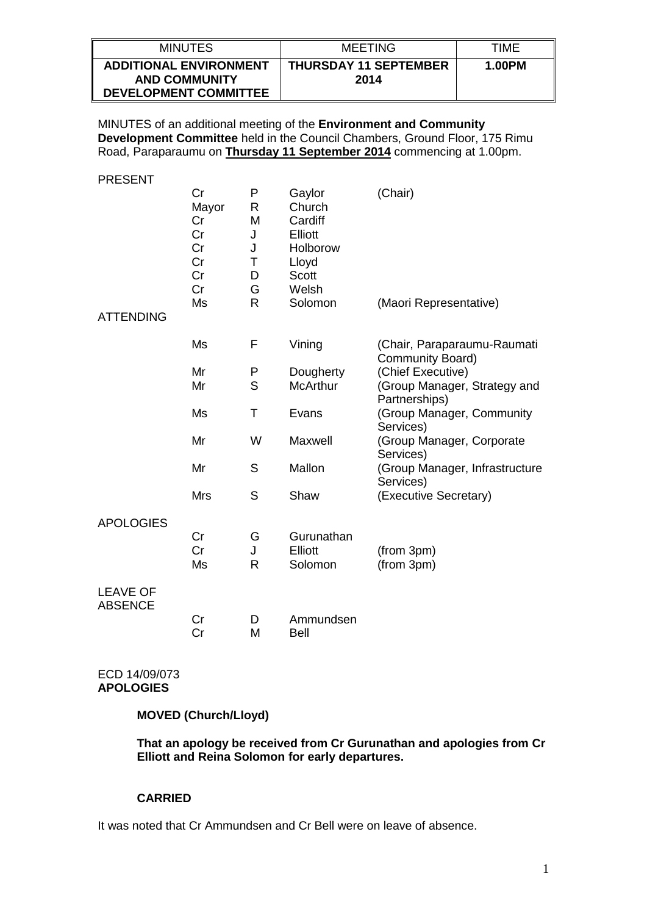| <b>MINUTES</b>                                                                        | MEETING                              | TIMF   |
|---------------------------------------------------------------------------------------|--------------------------------------|--------|
| <b>ADDITIONAL ENVIRONMENT</b><br><b>AND COMMUNITY</b><br><b>DEVELOPMENT COMMITTEE</b> | <b>THURSDAY 11 SEPTEMBER</b><br>2014 | 1.00PM |

MINUTES of an additional meeting of the **Environment and Community Development Committee** held in the Council Chambers, Ground Floor, 175 Rimu Road, Paraparaumu on **Thursday 11 September 2014** commencing at 1.00pm.

PRESENT

| <b>ATTENDING</b>                  | Cr<br>Mayor<br>Cr<br>Cr<br>Cr<br>Cr<br>Cr<br>Cr<br>Ms | P<br>R<br>M<br>J<br>J<br>Τ<br>D<br>G<br>$\mathsf{R}$ | Gaylor<br>Church<br>Cardiff<br>Elliott<br>Holborow<br>Lloyd<br><b>Scott</b><br>Welsh<br>Solomon | (Chair)<br>(Maori Representative)               |
|-----------------------------------|-------------------------------------------------------|------------------------------------------------------|-------------------------------------------------------------------------------------------------|-------------------------------------------------|
|                                   |                                                       |                                                      |                                                                                                 |                                                 |
|                                   | Ms                                                    | F                                                    | Vining                                                                                          | (Chair, Paraparaumu-Raumati<br>Community Board) |
|                                   | Mr                                                    | P                                                    | Dougherty                                                                                       | (Chief Executive)                               |
|                                   | Mr                                                    | S                                                    | <b>McArthur</b>                                                                                 | (Group Manager, Strategy and<br>Partnerships)   |
|                                   | Ms                                                    | Τ                                                    | Evans                                                                                           | (Group Manager, Community<br>Services)          |
|                                   | Mr                                                    | W                                                    | Maxwell                                                                                         | (Group Manager, Corporate<br>Services)          |
|                                   | Mr                                                    | S                                                    | Mallon                                                                                          | (Group Manager, Infrastructure<br>Services)     |
|                                   | <b>Mrs</b>                                            | S                                                    | Shaw                                                                                            | (Executive Secretary)                           |
| <b>APOLOGIES</b>                  |                                                       |                                                      |                                                                                                 |                                                 |
|                                   | Cr                                                    | G                                                    | Gurunathan                                                                                      |                                                 |
|                                   | Cr                                                    | J                                                    | <b>Elliott</b>                                                                                  | (from 3pm)                                      |
|                                   | Ms                                                    | $\mathsf{R}$                                         | Solomon                                                                                         | (from 3pm)                                      |
| <b>LEAVE OF</b><br><b>ABSENCE</b> |                                                       |                                                      |                                                                                                 |                                                 |
|                                   | Cr                                                    | D                                                    | Ammundsen                                                                                       |                                                 |
|                                   | Cr                                                    | M                                                    | <b>Bell</b>                                                                                     |                                                 |

ECD 14/09/073 **APOLOGIES**

**MOVED (Church/Lloyd)**

**That an apology be received from Cr Gurunathan and apologies from Cr Elliott and Reina Solomon for early departures.**

#### **CARRIED**

It was noted that Cr Ammundsen and Cr Bell were on leave of absence.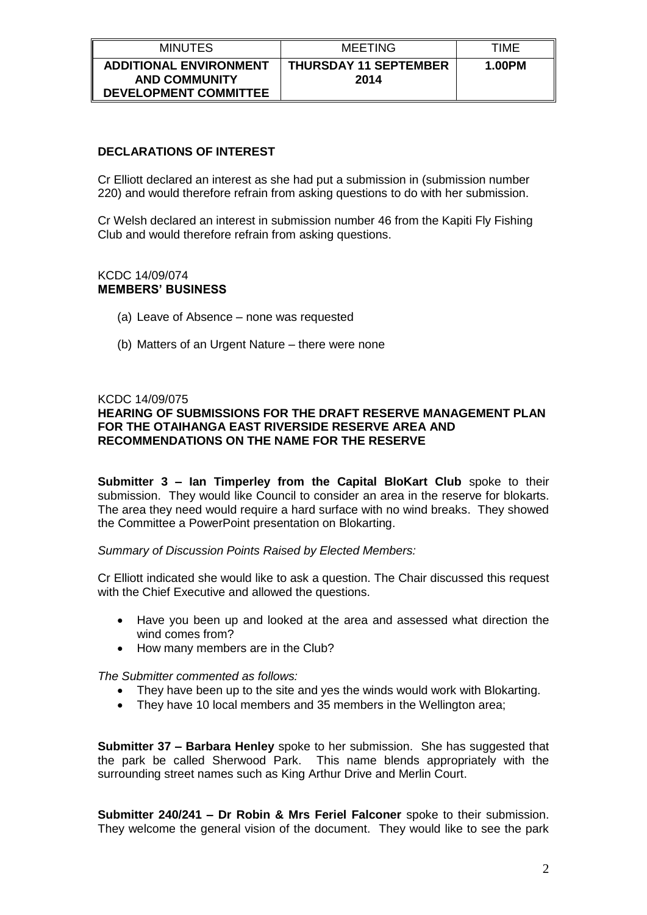| <b>MINUTES</b>                                                                        | MEETING                              | TIMF   |
|---------------------------------------------------------------------------------------|--------------------------------------|--------|
| <b>ADDITIONAL ENVIRONMENT</b><br><b>AND COMMUNITY</b><br><b>DEVELOPMENT COMMITTEE</b> | <b>THURSDAY 11 SEPTEMBER</b><br>2014 | 1.00PM |

# **DECLARATIONS OF INTEREST**

Cr Elliott declared an interest as she had put a submission in (submission number 220) and would therefore refrain from asking questions to do with her submission.

Cr Welsh declared an interest in submission number 46 from the Kapiti Fly Fishing Club and would therefore refrain from asking questions.

#### KCDC 14/09/074 **MEMBERS' BUSINESS**

- (a) Leave of Absence none was requested
- (b) Matters of an Urgent Nature there were none

#### KCDC 14/09/075

## **HEARING OF SUBMISSIONS FOR THE DRAFT RESERVE MANAGEMENT PLAN FOR THE OTAIHANGA EAST RIVERSIDE RESERVE AREA AND RECOMMENDATIONS ON THE NAME FOR THE RESERVE**

**Submitter 3 – Ian Timperley from the Capital BloKart Club** spoke to their submission. They would like Council to consider an area in the reserve for blokarts. The area they need would require a hard surface with no wind breaks. They showed the Committee a PowerPoint presentation on Blokarting.

*Summary of Discussion Points Raised by Elected Members:*

Cr Elliott indicated she would like to ask a question. The Chair discussed this request with the Chief Executive and allowed the questions.

- Have you been up and looked at the area and assessed what direction the wind comes from?
- How many members are in the Club?

*The Submitter commented as follows:*

- They have been up to the site and yes the winds would work with Blokarting.
- They have 10 local members and 35 members in the Wellington area;

**Submitter 37 – Barbara Henley** spoke to her submission. She has suggested that the park be called Sherwood Park. This name blends appropriately with the surrounding street names such as King Arthur Drive and Merlin Court.

**Submitter 240/241 – Dr Robin & Mrs Feriel Falconer** spoke to their submission. They welcome the general vision of the document. They would like to see the park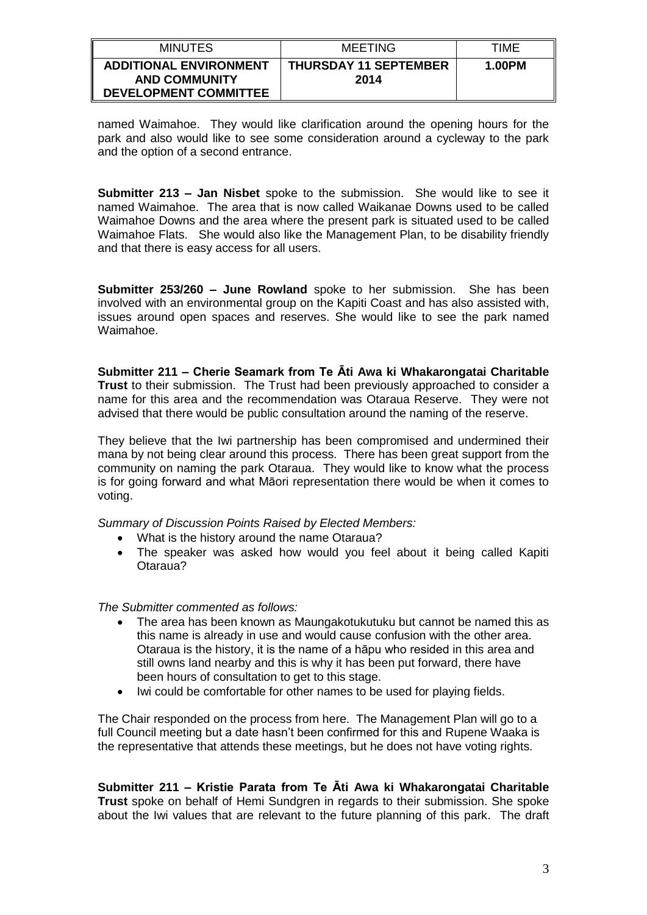| <b>MINUTES</b>                                                                        | <b>MEETING</b>                       | TIMF   |
|---------------------------------------------------------------------------------------|--------------------------------------|--------|
| <b>ADDITIONAL ENVIRONMENT</b><br><b>AND COMMUNITY</b><br><b>DEVELOPMENT COMMITTEE</b> | <b>THURSDAY 11 SEPTEMBER</b><br>2014 | 1.00PM |

named Waimahoe. They would like clarification around the opening hours for the park and also would like to see some consideration around a cycleway to the park and the option of a second entrance.

**Submitter 213 – Jan Nisbet** spoke to the submission. She would like to see it named Waimahoe. The area that is now called Waikanae Downs used to be called Waimahoe Downs and the area where the present park is situated used to be called Waimahoe Flats. She would also like the Management Plan, to be disability friendly and that there is easy access for all users.

**Submitter 253/260 – June Rowland** spoke to her submission. She has been involved with an environmental group on the Kapiti Coast and has also assisted with, issues around open spaces and reserves. She would like to see the park named Waimahoe.

**Submitter 211 – Cherie Seamark from Te Āti Awa ki Whakarongatai Charitable Trust** to their submission. The Trust had been previously approached to consider a name for this area and the recommendation was Otaraua Reserve. They were not advised that there would be public consultation around the naming of the reserve.

They believe that the Iwi partnership has been compromised and undermined their mana by not being clear around this process. There has been great support from the community on naming the park Otaraua. They would like to know what the process is for going forward and what Māori representation there would be when it comes to voting.

*Summary of Discussion Points Raised by Elected Members:*

- What is the history around the name Otaraua?
- The speaker was asked how would you feel about it being called Kapiti Otaraua?

*The Submitter commented as follows:*

- The area has been known as Maungakotukutuku but cannot be named this as this name is already in use and would cause confusion with the other area. Otaraua is the history, it is the name of a hāpu who resided in this area and still owns land nearby and this is why it has been put forward, there have been hours of consultation to get to this stage.
- Iwi could be comfortable for other names to be used for playing fields.

The Chair responded on the process from here. The Management Plan will go to a full Council meeting but a date hasn't been confirmed for this and Rupene Waaka is the representative that attends these meetings, but he does not have voting rights.

**Submitter 211 – Kristie Parata from Te Āti Awa ki Whakarongatai Charitable Trust** spoke on behalf of Hemi Sundgren in regards to their submission. She spoke about the Iwi values that are relevant to the future planning of this park. The draft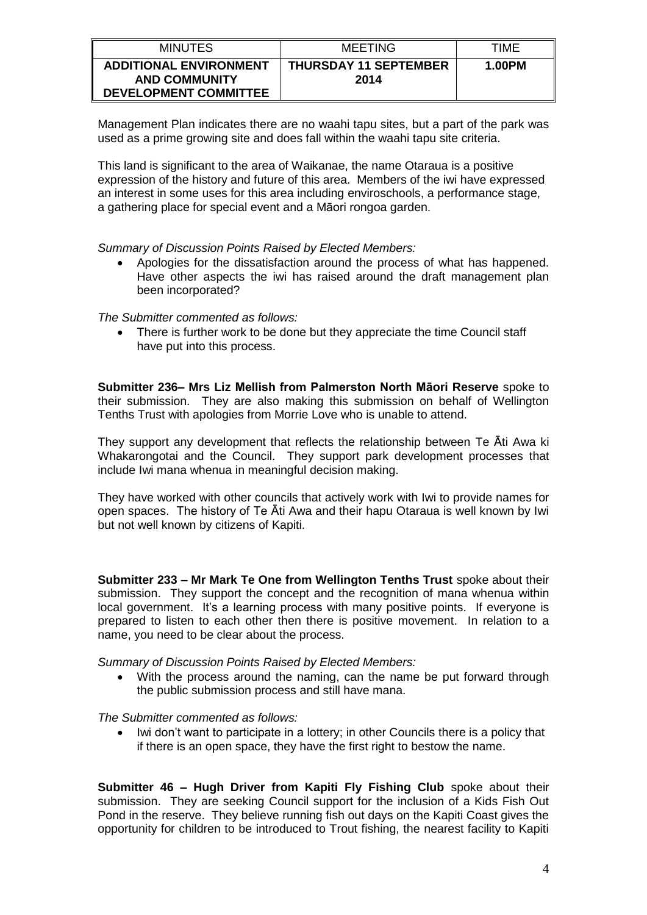| <b>MINUTES</b>                                                                        | <b>MEETING</b>                       | TIMF   |
|---------------------------------------------------------------------------------------|--------------------------------------|--------|
| <b>ADDITIONAL ENVIRONMENT</b><br><b>AND COMMUNITY</b><br><b>DEVELOPMENT COMMITTEE</b> | <b>THURSDAY 11 SEPTEMBER</b><br>2014 | 1.00PM |

Management Plan indicates there are no waahi tapu sites, but a part of the park was used as a prime growing site and does fall within the waahi tapu site criteria.

This land is significant to the area of Waikanae, the name Otaraua is a positive expression of the history and future of this area. Members of the iwi have expressed an interest in some uses for this area including enviroschools, a performance stage, a gathering place for special event and a Māori rongoa garden.

*Summary of Discussion Points Raised by Elected Members:*

 Apologies for the dissatisfaction around the process of what has happened. Have other aspects the iwi has raised around the draft management plan been incorporated?

*The Submitter commented as follows:*

 There is further work to be done but they appreciate the time Council staff have put into this process.

**Submitter 236– Mrs Liz Mellish from Palmerston North Māori Reserve** spoke to their submission. They are also making this submission on behalf of Wellington Tenths Trust with apologies from Morrie Love who is unable to attend.

They support any development that reflects the relationship between Te Āti Awa ki Whakarongotai and the Council. They support park development processes that include Iwi mana whenua in meaningful decision making.

They have worked with other councils that actively work with Iwi to provide names for open spaces. The history of Te Āti Awa and their hapu Otaraua is well known by Iwi but not well known by citizens of Kapiti.

**Submitter 233 – Mr Mark Te One from Wellington Tenths Trust** spoke about their submission. They support the concept and the recognition of mana whenua within local government. It's a learning process with many positive points. If everyone is prepared to listen to each other then there is positive movement. In relation to a name, you need to be clear about the process.

*Summary of Discussion Points Raised by Elected Members:*

 With the process around the naming, can the name be put forward through the public submission process and still have mana.

*The Submitter commented as follows:*

 Iwi don't want to participate in a lottery; in other Councils there is a policy that if there is an open space, they have the first right to bestow the name.

**Submitter 46 – Hugh Driver from Kapiti Fly Fishing Club** spoke about their submission. They are seeking Council support for the inclusion of a Kids Fish Out Pond in the reserve. They believe running fish out days on the Kapiti Coast gives the opportunity for children to be introduced to Trout fishing, the nearest facility to Kapiti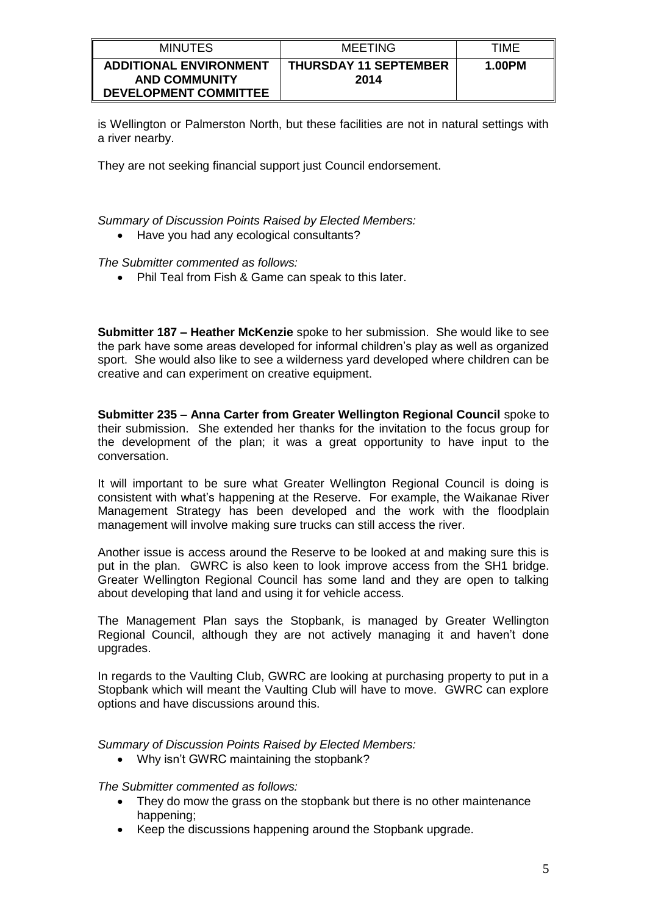| <b>MINUTES</b>                                                                        | <b>MEETING</b>                       | TIME   |
|---------------------------------------------------------------------------------------|--------------------------------------|--------|
| <b>ADDITIONAL ENVIRONMENT</b><br><b>AND COMMUNITY</b><br><b>DEVELOPMENT COMMITTEE</b> | <b>THURSDAY 11 SEPTEMBER</b><br>2014 | 1.00PM |

is Wellington or Palmerston North, but these facilities are not in natural settings with a river nearby.

They are not seeking financial support just Council endorsement.

*Summary of Discussion Points Raised by Elected Members:*

• Have you had any ecological consultants?

*The Submitter commented as follows:*

• Phil Teal from Fish & Game can speak to this later.

**Submitter 187 – Heather McKenzie** spoke to her submission. She would like to see the park have some areas developed for informal children's play as well as organized sport. She would also like to see a wilderness yard developed where children can be creative and can experiment on creative equipment.

**Submitter 235 – Anna Carter from Greater Wellington Regional Council** spoke to their submission. She extended her thanks for the invitation to the focus group for the development of the plan; it was a great opportunity to have input to the conversation.

It will important to be sure what Greater Wellington Regional Council is doing is consistent with what's happening at the Reserve. For example, the Waikanae River Management Strategy has been developed and the work with the floodplain management will involve making sure trucks can still access the river.

Another issue is access around the Reserve to be looked at and making sure this is put in the plan. GWRC is also keen to look improve access from the SH1 bridge. Greater Wellington Regional Council has some land and they are open to talking about developing that land and using it for vehicle access.

The Management Plan says the Stopbank, is managed by Greater Wellington Regional Council, although they are not actively managing it and haven't done upgrades.

In regards to the Vaulting Club, GWRC are looking at purchasing property to put in a Stopbank which will meant the Vaulting Club will have to move. GWRC can explore options and have discussions around this.

*Summary of Discussion Points Raised by Elected Members:*

• Why isn't GWRC maintaining the stopbank?

*The Submitter commented as follows:*

- They do mow the grass on the stopbank but there is no other maintenance happening;
- Keep the discussions happening around the Stopbank upgrade.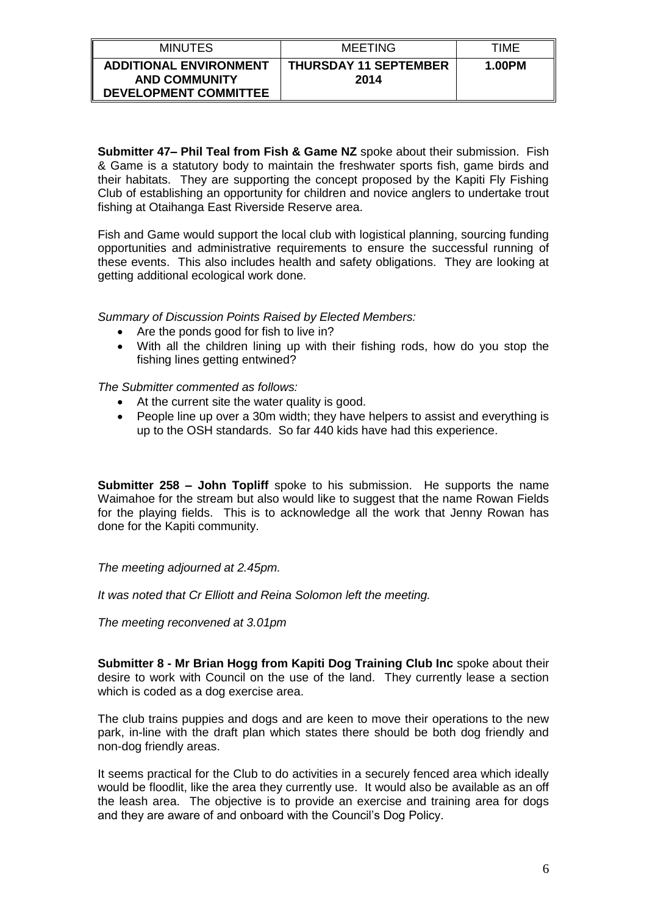| <b>MINUTES</b>                                                                        | MEETING                              | TIMF   |
|---------------------------------------------------------------------------------------|--------------------------------------|--------|
| <b>ADDITIONAL ENVIRONMENT</b><br><b>AND COMMUNITY</b><br><b>DEVELOPMENT COMMITTEE</b> | <b>THURSDAY 11 SEPTEMBER</b><br>2014 | 1.00PM |

**Submitter 47– Phil Teal from Fish & Game NZ** spoke about their submission. Fish & Game is a statutory body to maintain the freshwater sports fish, game birds and their habitats. They are supporting the concept proposed by the Kapiti Fly Fishing Club of establishing an opportunity for children and novice anglers to undertake trout fishing at Otaihanga East Riverside Reserve area.

Fish and Game would support the local club with logistical planning, sourcing funding opportunities and administrative requirements to ensure the successful running of these events. This also includes health and safety obligations. They are looking at getting additional ecological work done.

*Summary of Discussion Points Raised by Elected Members:*

- Are the ponds good for fish to live in?
- With all the children lining up with their fishing rods, how do you stop the fishing lines getting entwined?

*The Submitter commented as follows:*

- At the current site the water quality is good.
- People line up over a 30m width; they have helpers to assist and everything is up to the OSH standards. So far 440 kids have had this experience.

**Submitter 258 – John Topliff** spoke to his submission. He supports the name Waimahoe for the stream but also would like to suggest that the name Rowan Fields for the playing fields. This is to acknowledge all the work that Jenny Rowan has done for the Kapiti community.

*The meeting adjourned at 2.45pm.*

*It was noted that Cr Elliott and Reina Solomon left the meeting.*

*The meeting reconvened at 3.01pm*

**Submitter 8 - Mr Brian Hogg from Kapiti Dog Training Club Inc** spoke about their desire to work with Council on the use of the land. They currently lease a section which is coded as a dog exercise area.

The club trains puppies and dogs and are keen to move their operations to the new park, in-line with the draft plan which states there should be both dog friendly and non-dog friendly areas.

It seems practical for the Club to do activities in a securely fenced area which ideally would be floodlit, like the area they currently use. It would also be available as an off the leash area. The objective is to provide an exercise and training area for dogs and they are aware of and onboard with the Council's Dog Policy.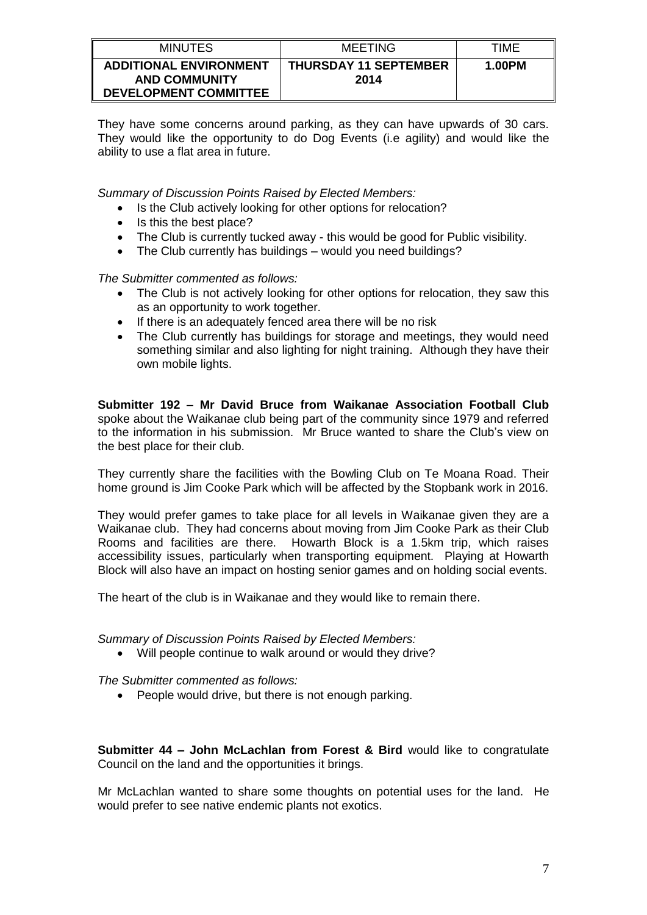| <b>MINUTES</b>                                                                        | <b>MEETING</b>                       | TIME   |
|---------------------------------------------------------------------------------------|--------------------------------------|--------|
| <b>ADDITIONAL ENVIRONMENT</b><br><b>AND COMMUNITY</b><br><b>DEVELOPMENT COMMITTEE</b> | <b>THURSDAY 11 SEPTEMBER</b><br>2014 | 1.00PM |

They have some concerns around parking, as they can have upwards of 30 cars. They would like the opportunity to do Dog Events (i.e agility) and would like the ability to use a flat area in future.

*Summary of Discussion Points Raised by Elected Members:*

- Is the Club actively looking for other options for relocation?
- $\bullet$  Is this the best place?
- The Club is currently tucked away this would be good for Public visibility.
- The Club currently has buildings would you need buildings?

*The Submitter commented as follows:*

- The Club is not actively looking for other options for relocation, they saw this as an opportunity to work together.
- If there is an adequately fenced area there will be no risk
- The Club currently has buildings for storage and meetings, they would need something similar and also lighting for night training. Although they have their own mobile lights.

**Submitter 192 – Mr David Bruce from Waikanae Association Football Club**  spoke about the Waikanae club being part of the community since 1979 and referred to the information in his submission. Mr Bruce wanted to share the Club's view on the best place for their club.

They currently share the facilities with the Bowling Club on Te Moana Road. Their home ground is Jim Cooke Park which will be affected by the Stopbank work in 2016.

They would prefer games to take place for all levels in Waikanae given they are a Waikanae club. They had concerns about moving from Jim Cooke Park as their Club Rooms and facilities are there. Howarth Block is a 1.5km trip, which raises accessibility issues, particularly when transporting equipment. Playing at Howarth Block will also have an impact on hosting senior games and on holding social events.

The heart of the club is in Waikanae and they would like to remain there.

*Summary of Discussion Points Raised by Elected Members:*

Will people continue to walk around or would they drive?

*The Submitter commented as follows:*

• People would drive, but there is not enough parking.

**Submitter 44 – John McLachlan from Forest & Bird** would like to congratulate Council on the land and the opportunities it brings.

Mr McLachlan wanted to share some thoughts on potential uses for the land. He would prefer to see native endemic plants not exotics.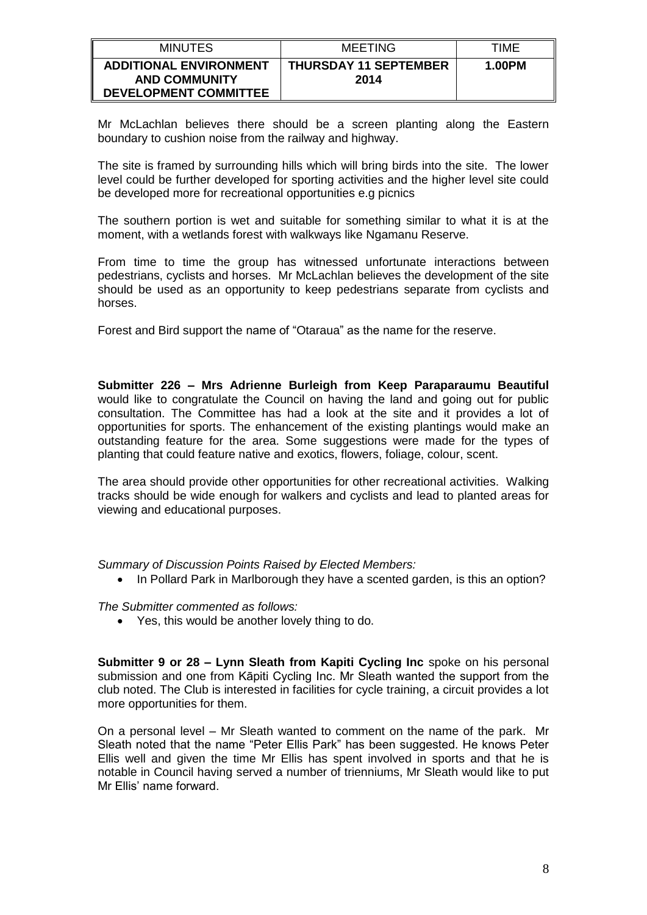| <b>MINUTES</b>                                                                        | MEETING                              | TIMF   |
|---------------------------------------------------------------------------------------|--------------------------------------|--------|
| <b>ADDITIONAL ENVIRONMENT</b><br><b>AND COMMUNITY</b><br><b>DEVELOPMENT COMMITTEE</b> | <b>THURSDAY 11 SEPTEMBER</b><br>2014 | 1.00PM |

Mr McLachlan believes there should be a screen planting along the Eastern boundary to cushion noise from the railway and highway.

The site is framed by surrounding hills which will bring birds into the site. The lower level could be further developed for sporting activities and the higher level site could be developed more for recreational opportunities e.g picnics

The southern portion is wet and suitable for something similar to what it is at the moment, with a wetlands forest with walkways like Ngamanu Reserve.

From time to time the group has witnessed unfortunate interactions between pedestrians, cyclists and horses. Mr McLachlan believes the development of the site should be used as an opportunity to keep pedestrians separate from cyclists and horses.

Forest and Bird support the name of "Otaraua" as the name for the reserve.

**Submitter 226 – Mrs Adrienne Burleigh from Keep Paraparaumu Beautiful**  would like to congratulate the Council on having the land and going out for public consultation. The Committee has had a look at the site and it provides a lot of opportunities for sports. The enhancement of the existing plantings would make an outstanding feature for the area. Some suggestions were made for the types of planting that could feature native and exotics, flowers, foliage, colour, scent.

The area should provide other opportunities for other recreational activities. Walking tracks should be wide enough for walkers and cyclists and lead to planted areas for viewing and educational purposes.

*Summary of Discussion Points Raised by Elected Members:*

• In Pollard Park in Marlborough they have a scented garden, is this an option?

*The Submitter commented as follows:*

Yes, this would be another lovely thing to do.

**Submitter 9 or 28 – Lynn Sleath from Kapiti Cycling Inc** spoke on his personal submission and one from Kāpiti Cycling Inc. Mr Sleath wanted the support from the club noted. The Club is interested in facilities for cycle training, a circuit provides a lot more opportunities for them.

On a personal level – Mr Sleath wanted to comment on the name of the park. Mr Sleath noted that the name "Peter Ellis Park" has been suggested. He knows Peter Ellis well and given the time Mr Ellis has spent involved in sports and that he is notable in Council having served a number of trienniums, Mr Sleath would like to put Mr Ellis' name forward.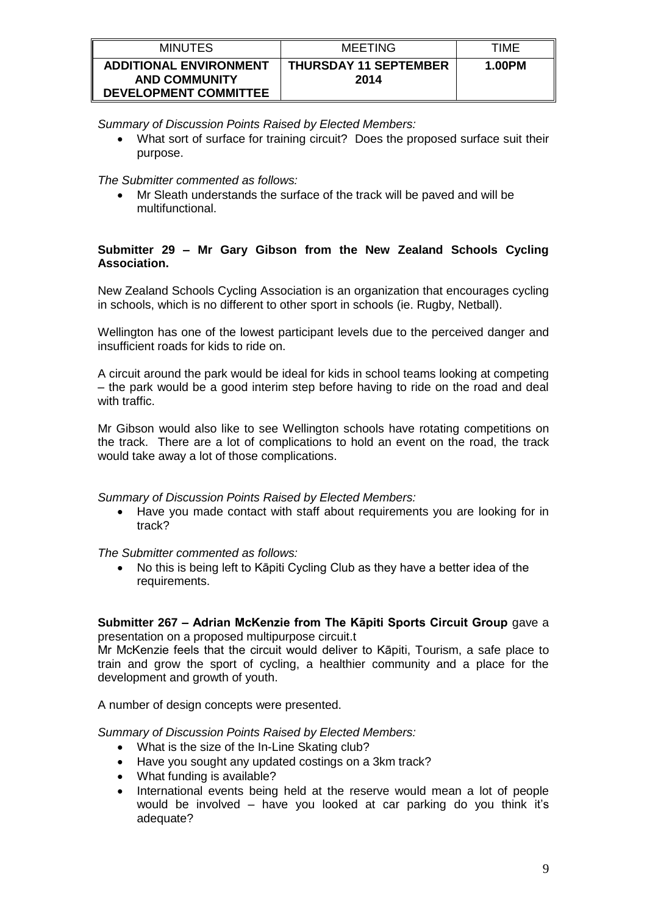| <b>MINUTES</b>                                                                        | <b>MEETING</b>                       | TIME   |
|---------------------------------------------------------------------------------------|--------------------------------------|--------|
| <b>ADDITIONAL ENVIRONMENT</b><br><b>AND COMMUNITY</b><br><b>DEVELOPMENT COMMITTEE</b> | <b>THURSDAY 11 SEPTEMBER</b><br>2014 | 1.00PM |

*Summary of Discussion Points Raised by Elected Members:*

 What sort of surface for training circuit? Does the proposed surface suit their purpose.

*The Submitter commented as follows:*

 Mr Sleath understands the surface of the track will be paved and will be multifunctional.

## **Submitter 29 – Mr Gary Gibson from the New Zealand Schools Cycling Association.**

New Zealand Schools Cycling Association is an organization that encourages cycling in schools, which is no different to other sport in schools (ie. Rugby, Netball).

Wellington has one of the lowest participant levels due to the perceived danger and insufficient roads for kids to ride on.

A circuit around the park would be ideal for kids in school teams looking at competing – the park would be a good interim step before having to ride on the road and deal with traffic.

Mr Gibson would also like to see Wellington schools have rotating competitions on the track. There are a lot of complications to hold an event on the road, the track would take away a lot of those complications.

### *Summary of Discussion Points Raised by Elected Members:*

 Have you made contact with staff about requirements you are looking for in track?

*The Submitter commented as follows:*

 No this is being left to Kāpiti Cycling Club as they have a better idea of the requirements.

### **Submitter 267 – Adrian McKenzie from The Kāpiti Sports Circuit Group** gave a presentation on a proposed multipurpose circuit.t

Mr McKenzie feels that the circuit would deliver to Kāpiti, Tourism, a safe place to train and grow the sport of cycling, a healthier community and a place for the development and growth of youth.

A number of design concepts were presented.

*Summary of Discussion Points Raised by Elected Members:*

- What is the size of the In-Line Skating club?
- Have you sought any updated costings on a 3km track?
- What funding is available?
- International events being held at the reserve would mean a lot of people would be involved – have you looked at car parking do you think it's adequate?